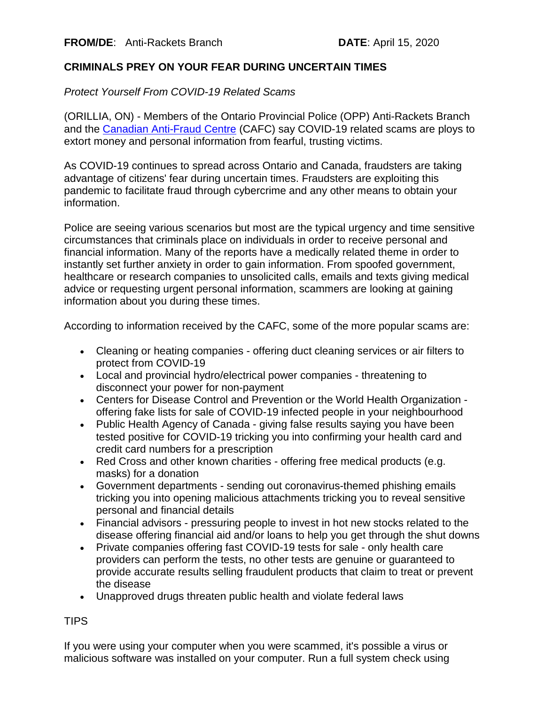## **CRIMINALS PREY ON YOUR FEAR DURING UNCERTAIN TIMES**

*Protect Yourself From COVID-19 Related Scams*

(ORILLIA, ON) - Members of the Ontario Provincial Police (OPP) Anti-Rackets Branch and the [Canadian Anti-Fraud Centre](https://can01.safelinks.protection.outlook.com/?url=http%3A%2F%2Fwww.antifraudcentre-centreantifraude.ca%2Findex-eng.htm&data=02%7C01%7Cdavid.hobson%40opp.ca%7C5dcbeaa751664ff1ffb608d7e146daf0%7Ccddc1229ac2a4b97b78a0e5cacb5865c%7C0%7C0%7C637225566746329692&sdata=nk9bntituuP%2F0VUbDWhnv607Dvzf65Jjj9M8VchlMbE%3D&reserved=0) (CAFC) say COVID-19 related scams are ploys to extort money and personal information from fearful, trusting victims.

As COVID-19 continues to spread across Ontario and Canada, fraudsters are taking advantage of citizens' fear during uncertain times. Fraudsters are exploiting this pandemic to facilitate fraud through cybercrime and any other means to obtain your information.

Police are seeing various scenarios but most are the typical urgency and time sensitive circumstances that criminals place on individuals in order to receive personal and financial information. Many of the reports have a medically related theme in order to instantly set further anxiety in order to gain information. From spoofed government, healthcare or research companies to unsolicited calls, emails and texts giving medical advice or requesting urgent personal information, scammers are looking at gaining information about you during these times.

According to information received by the CAFC, some of the more popular scams are:

- Cleaning or heating companies offering duct cleaning services or air filters to protect from COVID-19
- Local and provincial hydro/electrical power companies threatening to disconnect your power for non-payment
- Centers for Disease Control and Prevention or the World Health Organization offering fake lists for sale of COVID-19 infected people in your neighbourhood
- Public Health Agency of Canada giving false results saying you have been tested positive for COVID-19 tricking you into confirming your health card and credit card numbers for a prescription
- Red Cross and other known charities offering free medical products (e.g. masks) for a donation
- Government departments sending out coronavirus-themed phishing emails tricking you into opening malicious attachments tricking you to reveal sensitive personal and financial details
- Financial advisors pressuring people to invest in hot new stocks related to the disease offering financial aid and/or loans to help you get through the shut downs
- Private companies offering fast COVID-19 tests for sale only health care providers can perform the tests, no other tests are genuine or guaranteed to provide accurate results selling fraudulent products that claim to treat or prevent the disease
- Unapproved drugs threaten public health and violate federal laws

## TIPS

If you were using your computer when you were scammed, it's possible a virus or malicious software was installed on your computer. Run a full system check using